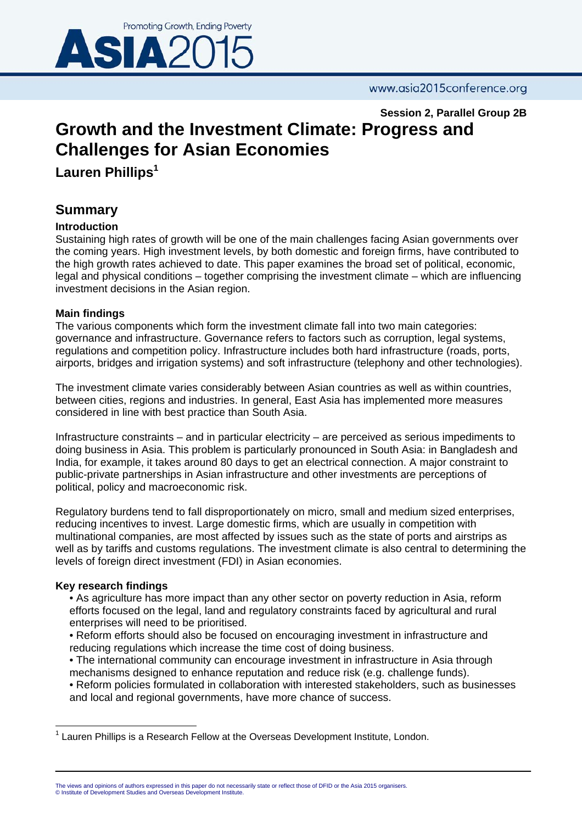

**Session 2, Parallel Group 2B** 

# **Growth and the Investment Climate: Progress and Challenges for Asian Economies**

**Lauren Phillips<sup>1</sup>**

## **Summary**

### **Introduction**

Sustaining high rates of growth will be one of the main challenges facing Asian governments over the coming years. High investment levels, by both domestic and foreign firms, have contributed to the high growth rates achieved to date. This paper examines the broad set of political, economic, legal and physical conditions – together comprising the investment climate – which are influencing investment decisions in the Asian region.

### **Main findings**

The various components which form the investment climate fall into two main categories: governance and infrastructure. Governance refers to factors such as corruption, legal systems, regulations and competition policy. Infrastructure includes both hard infrastructure (roads, ports, airports, bridges and irrigation systems) and soft infrastructure (telephony and other technologies).

The investment climate varies considerably between Asian countries as well as within countries, between cities, regions and industries. In general, East Asia has implemented more measures considered in line with best practice than South Asia.

Infrastructure constraints – and in particular electricity – are perceived as serious impediments to doing business in Asia. This problem is particularly pronounced in South Asia: in Bangladesh and India, for example, it takes around 80 days to get an electrical connection. A major constraint to public-private partnerships in Asian infrastructure and other investments are perceptions of political, policy and macroeconomic risk.

Regulatory burdens tend to fall disproportionately on micro, small and medium sized enterprises, reducing incentives to invest. Large domestic firms, which are usually in competition with multinational companies, are most affected by issues such as the state of ports and airstrips as well as by tariffs and customs regulations. The investment climate is also central to determining the levels of foreign direct investment (FDI) in Asian economies.

### **Key research findings**

- As agriculture has more impact than any other sector on poverty reduction in Asia, reform efforts focused on the legal, land and regulatory constraints faced by agricultural and rural enterprises will need to be prioritised.
- Reform efforts should also be focused on encouraging investment in infrastructure and reducing regulations which increase the time cost of doing business.
- The international community can encourage investment in infrastructure in Asia through mechanisms designed to enhance reputation and reduce risk (e.g. challenge funds).
- Reform policies formulated in collaboration with interested stakeholders, such as businesses and local and regional governments, have more chance of success.

  $1$  Lauren Phillips is a Research Fellow at the Overseas Development Institute, London.

The views and opinions of authors expressed in this paper do not necessarily state or reflect those of DFID or the Asia 2015 organisers. © Institute of Development Studies and Overseas Development Institute.